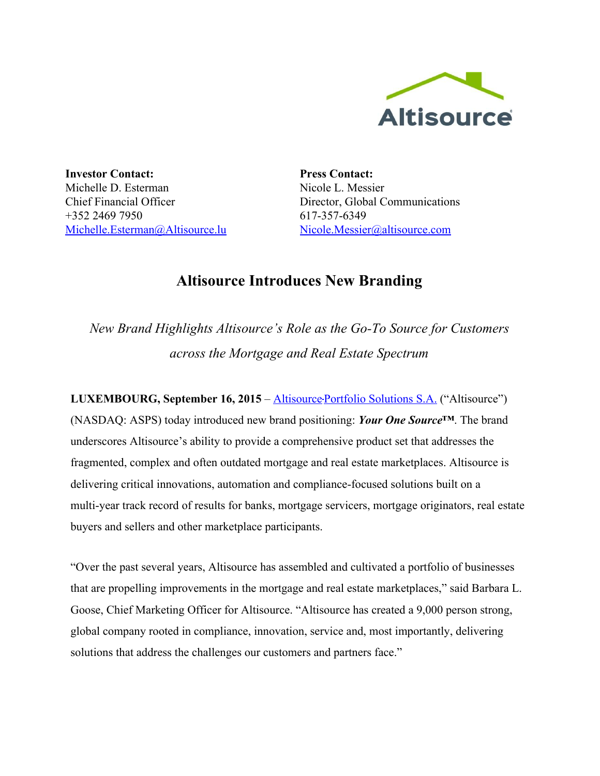

**Investor Contact:** Michelle D. Esterman Chief Financial Officer +352 2469 7950 [Michelle.Esterman@Altisource.lu](mailto:Michelle.Esterman@Altisource.lu)

**Press Contact:** Nicole L. Messier Director, Global Communications 617-357-6349 [Nicole.Messier@altisource.com](mailto:Nicole.Messier@altisource.com)

## **Altisource Introduces New Branding**

*New Brand Highlights Altisource's Role as the GoTo Source for Customers across the Mortgage and Real Estate Spectrum*

**LUXEMBOURG, September 16, 2015**– [Altisource](http://www.altisource.com/?utm_campaign=ASPSRelaunch&utm_source=PR) [P](http://www.altisource.com/?utm_campaign=ASPSRelaunch&utm_source=PR)ortfolio [Solutions](http://www.altisource.com/?utm_campaign=ASPSRelaunch&utm_source=PR) S.A. ("Altisource") (NASDAQ: ASPS) today introduced new brand positioning: *Your One Source™*. The brand underscores Altisource's ability to provide a comprehensive product set that addresses the fragmented, complex and often outdated mortgage and real estate marketplaces. Altisource is delivering critical innovations, automation and compliance-focused solutions built on a multi-year track record of results for banks, mortgage servicers, mortgage originators, real estate buyers and sellers and other marketplace participants.

"Over the past several years, Altisource has assembled and cultivated a portfolio of businesses that are propelling improvements in the mortgage and real estate marketplaces," said Barbara L. Goose, Chief Marketing Officer for Altisource. "Altisource has created a 9,000 person strong, global company rooted in compliance, innovation, service and, most importantly, delivering solutions that address the challenges our customers and partners face."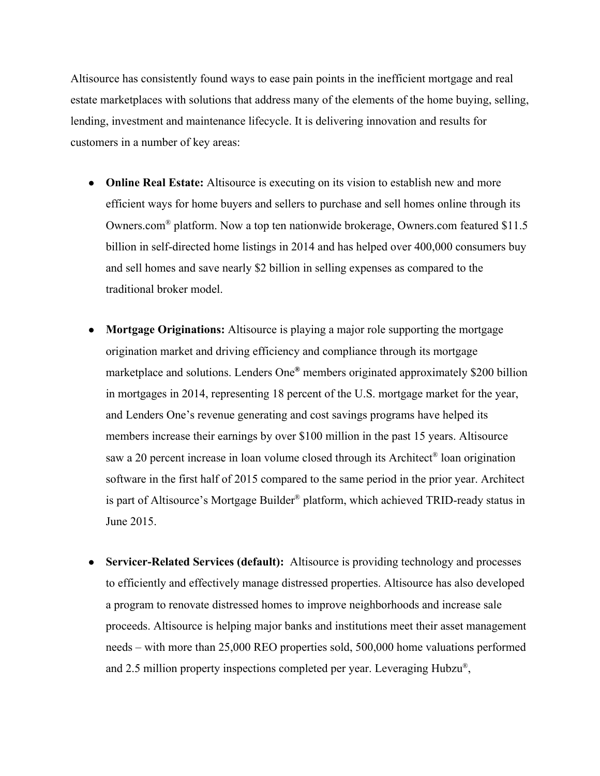Altisource has consistently found ways to ease pain points in the inefficient mortgage and real estate marketplaces with solutions that address many of the elements of the home buying, selling, lending, investment and maintenance lifecycle. It is delivering innovation and results for customers in a number of key areas:

- **Online Real Estate:**Altisource is executing on its vision to establish new and more efficient ways for home buyers and sellers to purchase and sell homes online through its Owners.com® platform. Now a top ten nationwide brokerage, Owners.com featured \$11.5 billion in self-directed home listings in 2014 and has helped over  $400,000$  consumers buy and sell homes and save nearly \$2 billion in selling expenses as compared to the traditional broker model.
- **Mortgage Originations:**Altisource is playing a major role supporting the mortgage origination market and driving efficiency and compliance through its mortgage marketplace and solutions. Lenders One **®**members originated approximately \$200 billion in mortgages in 2014, representing 18 percent of the U.S. mortgage market for the year, and Lenders One's revenue generating and cost savings programs have helped its members increase their earnings by over \$100 million in the past 15 years. Altisource saw a 20 percent increase in loan volume closed through its Architect<sup>®</sup> loan origination software in the first half of 2015 compared to the same period in the prior year. Architect is part of Altisource's Mortgage Builder® platform, which achieved TRID-ready status in June 2015.
- Servicer-Related Services (default): Altisource is providing technology and processes to efficiently and effectively manage distressed properties. Altisource has also developed a program to renovate distressed homes to improve neighborhoods and increase sale proceeds. Altisource is helping major banks and institutions meet their asset management needs – with more than 25,000 REO properties sold, 500,000 home valuations performed and 2.5 million property inspections completed per year. Leveraging Hubzu®,